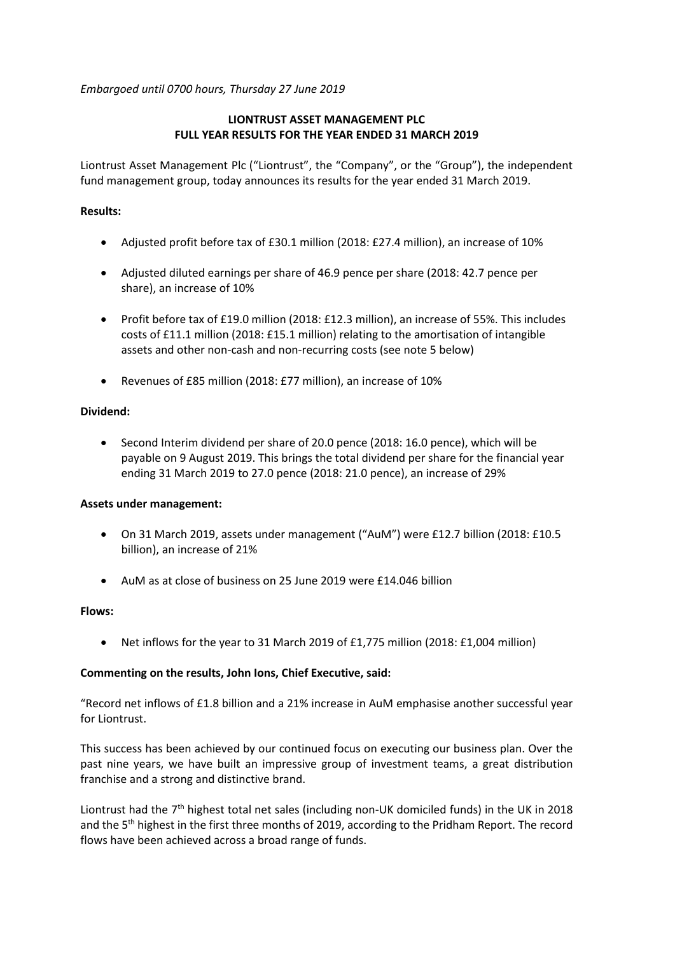*Embargoed until 0700 hours, Thursday 27 June 2019*

# **LIONTRUST ASSET MANAGEMENT PLC FULL YEAR RESULTS FOR THE YEAR ENDED 31 MARCH 2019**

Liontrust Asset Management Plc ("Liontrust", the "Company", or the "Group"), the independent fund management group, today announces its results for the year ended 31 March 2019.

### **Results:**

- Adjusted profit before tax of £30.1 million (2018: £27.4 million), an increase of 10%
- Adjusted diluted earnings per share of 46.9 pence per share (2018: 42.7 pence per share), an increase of 10%
- Profit before tax of £19.0 million (2018: £12.3 million), an increase of 55%. This includes costs of £11.1 million (2018: £15.1 million) relating to the amortisation of intangible assets and other non-cash and non-recurring costs (see note 5 below)
- Revenues of £85 million (2018: £77 million), an increase of 10%

## **Dividend:**

 Second Interim dividend per share of 20.0 pence (2018: 16.0 pence), which will be payable on 9 August 2019. This brings the total dividend per share for the financial year ending 31 March 2019 to 27.0 pence (2018: 21.0 pence), an increase of 29%

### **Assets under management:**

- On 31 March 2019, assets under management ("AuM") were £12.7 billion (2018: £10.5 billion), an increase of 21%
- AuM as at close of business on 25 June 2019 were £14.046 billion

### **Flows:**

Net inflows for the year to 31 March 2019 of £1,775 million (2018: £1,004 million)

### **Commenting on the results, John Ions, Chief Executive, said:**

"Record net inflows of £1.8 billion and a 21% increase in AuM emphasise another successful year for Liontrust.

This success has been achieved by our continued focus on executing our business plan. Over the past nine years, we have built an impressive group of investment teams, a great distribution franchise and a strong and distinctive brand.

Liontrust had the  $7<sup>th</sup>$  highest total net sales (including non-UK domiciled funds) in the UK in 2018 and the 5<sup>th</sup> highest in the first three months of 2019, according to the Pridham Report. The record flows have been achieved across a broad range of funds.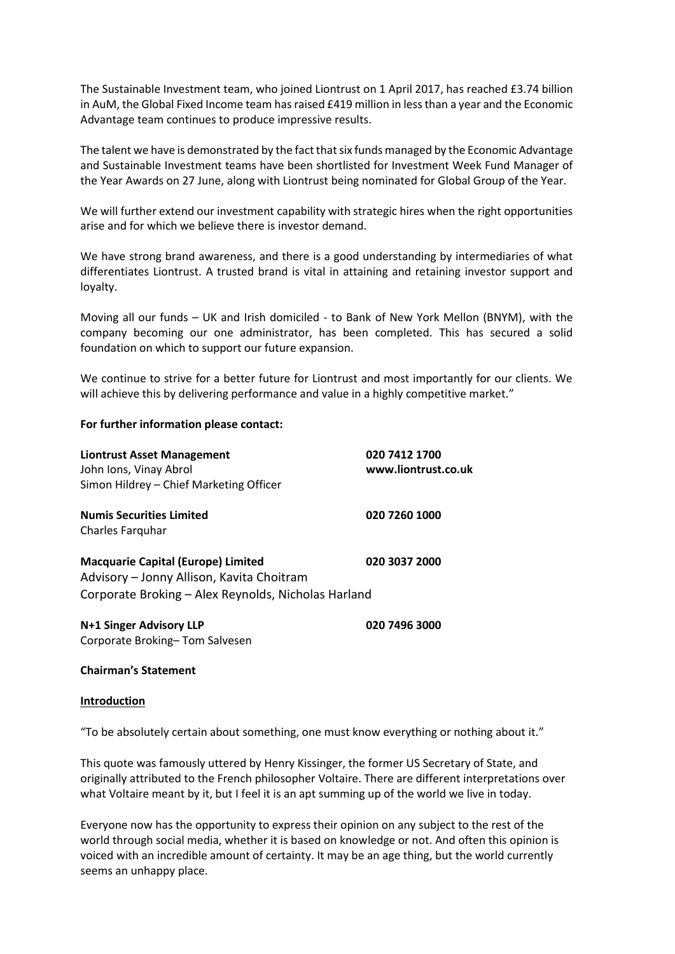The Sustainable Investment team, who joined Liontrust on 1 April 2017, has reached £3.74 billion in AuM, the Global Fixed Income team has raised £419 million in less than a year and the Economic Advantage team continues to produce impressive results.

The talent we have is demonstrated by the fact that six funds managed by the Economic Advantage and Sustainable Investment teams have been shortlisted for Investment Week Fund Manager of the Year Awards on 27 June, along with Liontrust being nominated for Global Group of the Year.

We will further extend our investment capability with strategic hires when the right opportunities arise and for which we believe there is investor demand.

We have strong brand awareness, and there is a good understanding by intermediaries of what differentiates Liontrust. A trusted brand is vital in attaining and retaining investor support and loyalty.

Moving all our funds – UK and Irish domiciled - to Bank of New York Mellon (BNYM), with the company becoming our one administrator, has been completed. This has secured a solid foundation on which to support our future expansion.

We continue to strive for a better future for Liontrust and most importantly for our clients. We will achieve this by delivering performance and value in a highly competitive market."

#### **For further information please contact:**

| <b>Liontrust Asset Management</b><br>John Ions, Vinay Abrol | 020 7412 1700<br>www.liontrust.co.uk |
|-------------------------------------------------------------|--------------------------------------|
| Simon Hildrey - Chief Marketing Officer                     |                                      |
| <b>Numis Securities Limited</b>                             | 020 7260 1000                        |
| Charles Farguhar                                            |                                      |
| <b>Macquarie Capital (Europe) Limited</b>                   | 020 3037 2000                        |
| Advisory – Jonny Allison, Kavita Choitram                   |                                      |
| Corporate Broking - Alex Reynolds, Nicholas Harland         |                                      |
| N+1 Singer Advisory LLP                                     | 020 7496 3000                        |
| Corporate Broking-Tom Salvesen                              |                                      |

#### **Chairman's Statement**

#### **Introduction**

"To be absolutely certain about something, one must know everything or nothing about it."

This quote was famously uttered by Henry Kissinger, the former US Secretary of State, and originally attributed to the French philosopher Voltaire. There are different interpretations over what Voltaire meant by it, but I feel it is an apt summing up of the world we live in today.

Everyone now has the opportunity to express their opinion on any subject to the rest of the world through social media, whether it is based on knowledge or not. And often this opinion is voiced with an incredible amount of certainty. It may be an age thing, but the world currently seems an unhappy place.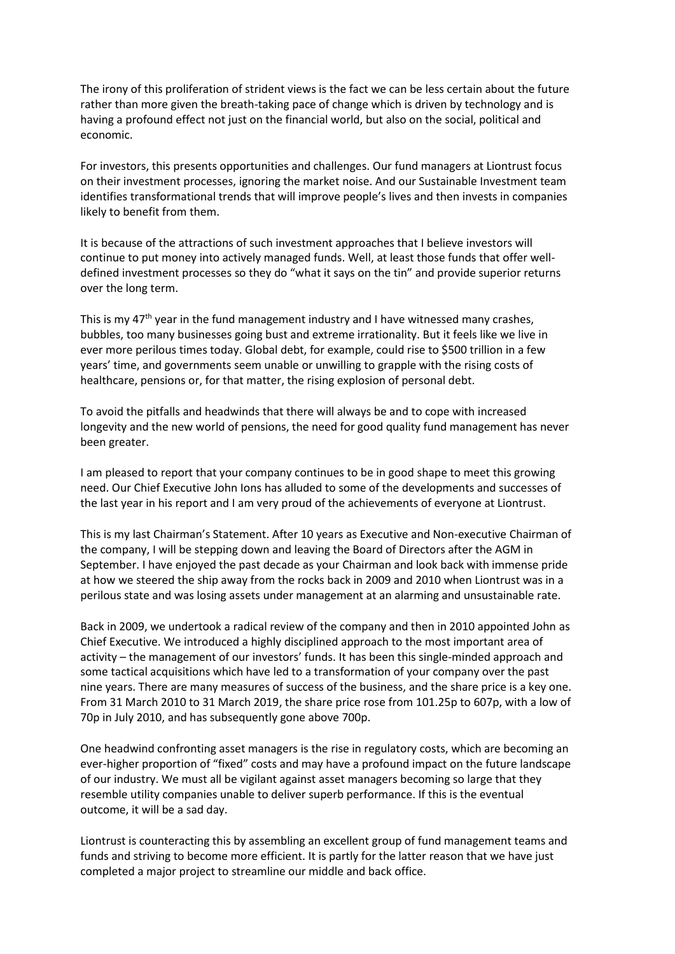The irony of this proliferation of strident views is the fact we can be less certain about the future rather than more given the breath-taking pace of change which is driven by technology and is having a profound effect not just on the financial world, but also on the social, political and economic.

For investors, this presents opportunities and challenges. Our fund managers at Liontrust focus on their investment processes, ignoring the market noise. And our Sustainable Investment team identifies transformational trends that will improve people's lives and then invests in companies likely to benefit from them.

It is because of the attractions of such investment approaches that I believe investors will continue to put money into actively managed funds. Well, at least those funds that offer welldefined investment processes so they do "what it says on the tin" and provide superior returns over the long term.

This is my  $47<sup>th</sup>$  year in the fund management industry and I have witnessed many crashes, bubbles, too many businesses going bust and extreme irrationality. But it feels like we live in ever more perilous times today. Global debt, for example, could rise to \$500 trillion in a few years' time, and governments seem unable or unwilling to grapple with the rising costs of healthcare, pensions or, for that matter, the rising explosion of personal debt.

To avoid the pitfalls and headwinds that there will always be and to cope with increased longevity and the new world of pensions, the need for good quality fund management has never been greater.

I am pleased to report that your company continues to be in good shape to meet this growing need. Our Chief Executive John Ions has alluded to some of the developments and successes of the last year in his report and I am very proud of the achievements of everyone at Liontrust.

This is my last Chairman's Statement. After 10 years as Executive and Non-executive Chairman of the company, I will be stepping down and leaving the Board of Directors after the AGM in September. I have enjoyed the past decade as your Chairman and look back with immense pride at how we steered the ship away from the rocks back in 2009 and 2010 when Liontrust was in a perilous state and was losing assets under management at an alarming and unsustainable rate.

Back in 2009, we undertook a radical review of the company and then in 2010 appointed John as Chief Executive. We introduced a highly disciplined approach to the most important area of activity – the management of our investors' funds. It has been this single-minded approach and some tactical acquisitions which have led to a transformation of your company over the past nine years. There are many measures of success of the business, and the share price is a key one. From 31 March 2010 to 31 March 2019, the share price rose from 101.25p to 607p, with a low of 70p in July 2010, and has subsequently gone above 700p.

One headwind confronting asset managers is the rise in regulatory costs, which are becoming an ever-higher proportion of "fixed" costs and may have a profound impact on the future landscape of our industry. We must all be vigilant against asset managers becoming so large that they resemble utility companies unable to deliver superb performance. If this is the eventual outcome, it will be a sad day.

Liontrust is counteracting this by assembling an excellent group of fund management teams and funds and striving to become more efficient. It is partly for the latter reason that we have just completed a major project to streamline our middle and back office.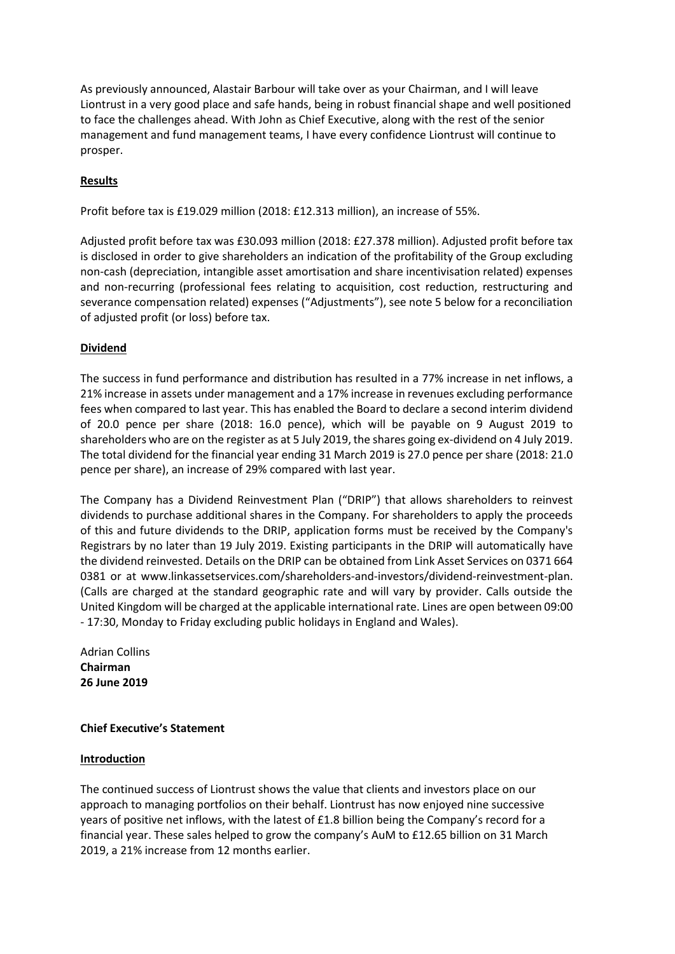As previously announced, Alastair Barbour will take over as your Chairman, and I will leave Liontrust in a very good place and safe hands, being in robust financial shape and well positioned to face the challenges ahead. With John as Chief Executive, along with the rest of the senior management and fund management teams, I have every confidence Liontrust will continue to prosper.

# **Results**

Profit before tax is £19.029 million (2018: £12.313 million), an increase of 55%.

Adjusted profit before tax was £30.093 million (2018: £27.378 million). Adjusted profit before tax is disclosed in order to give shareholders an indication of the profitability of the Group excluding non-cash (depreciation, intangible asset amortisation and share incentivisation related) expenses and non-recurring (professional fees relating to acquisition, cost reduction, restructuring and severance compensation related) expenses ("Adjustments"), see note 5 below for a reconciliation of adjusted profit (or loss) before tax.

## **Dividend**

The success in fund performance and distribution has resulted in a 77% increase in net inflows, a 21% increase in assets under management and a 17% increase in revenues excluding performance fees when compared to last year. This has enabled the Board to declare a second interim dividend of 20.0 pence per share (2018: 16.0 pence), which will be payable on 9 August 2019 to shareholders who are on the register as at 5 July 2019, the shares going ex-dividend on 4 July 2019. The total dividend for the financial year ending 31 March 2019 is 27.0 pence per share (2018: 21.0 pence per share), an increase of 29% compared with last year.

The Company has a Dividend Reinvestment Plan ("DRIP") that allows shareholders to reinvest dividends to purchase additional shares in the Company. For shareholders to apply the proceeds of this and future dividends to the DRIP, application forms must be received by the Company's Registrars by no later than 19 July 2019. Existing participants in the DRIP will automatically have the dividend reinvested. Details on the DRIP can be obtained from Link Asset Services on 0371 664 0381 or at www.linkassetservices.com/shareholders-and-investors/dividend-reinvestment-plan. (Calls are charged at the standard geographic rate and will vary by provider. Calls outside the United Kingdom will be charged at the applicable international rate. Lines are open between 09:00 - 17:30, Monday to Friday excluding public holidays in England and Wales).

Adrian Collins **Chairman 26 June 2019**

### **Chief Executive's Statement**

### **Introduction**

The continued success of Liontrust shows the value that clients and investors place on our approach to managing portfolios on their behalf. Liontrust has now enjoyed nine successive years of positive net inflows, with the latest of £1.8 billion being the Company's record for a financial year. These sales helped to grow the company's AuM to £12.65 billion on 31 March 2019, a 21% increase from 12 months earlier.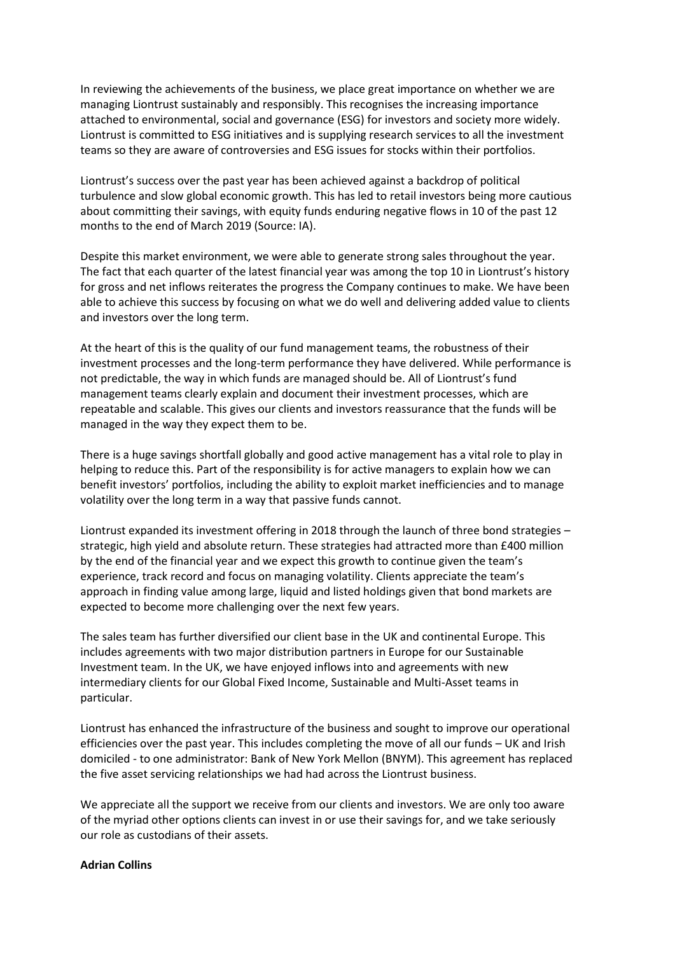In reviewing the achievements of the business, we place great importance on whether we are managing Liontrust sustainably and responsibly. This recognises the increasing importance attached to environmental, social and governance (ESG) for investors and society more widely. Liontrust is committed to ESG initiatives and is supplying research services to all the investment teams so they are aware of controversies and ESG issues for stocks within their portfolios.

Liontrust's success over the past year has been achieved against a backdrop of political turbulence and slow global economic growth. This has led to retail investors being more cautious about committing their savings, with equity funds enduring negative flows in 10 of the past 12 months to the end of March 2019 (Source: IA).

Despite this market environment, we were able to generate strong sales throughout the year. The fact that each quarter of the latest financial year was among the top 10 in Liontrust's history for gross and net inflows reiterates the progress the Company continues to make. We have been able to achieve this success by focusing on what we do well and delivering added value to clients and investors over the long term.

At the heart of this is the quality of our fund management teams, the robustness of their investment processes and the long-term performance they have delivered. While performance is not predictable, the way in which funds are managed should be. All of Liontrust's fund management teams clearly explain and document their investment processes, which are repeatable and scalable. This gives our clients and investors reassurance that the funds will be managed in the way they expect them to be.

There is a huge savings shortfall globally and good active management has a vital role to play in helping to reduce this. Part of the responsibility is for active managers to explain how we can benefit investors' portfolios, including the ability to exploit market inefficiencies and to manage volatility over the long term in a way that passive funds cannot.

Liontrust expanded its investment offering in 2018 through the launch of three bond strategies – strategic, high yield and absolute return. These strategies had attracted more than £400 million by the end of the financial year and we expect this growth to continue given the team's experience, track record and focus on managing volatility. Clients appreciate the team's approach in finding value among large, liquid and listed holdings given that bond markets are expected to become more challenging over the next few years.

The sales team has further diversified our client base in the UK and continental Europe. This includes agreements with two major distribution partners in Europe for our Sustainable Investment team. In the UK, we have enjoyed inflows into and agreements with new intermediary clients for our Global Fixed Income, Sustainable and Multi-Asset teams in particular.

Liontrust has enhanced the infrastructure of the business and sought to improve our operational efficiencies over the past year. This includes completing the move of all our funds – UK and Irish domiciled - to one administrator: Bank of New York Mellon (BNYM). This agreement has replaced the five asset servicing relationships we had had across the Liontrust business.

We appreciate all the support we receive from our clients and investors. We are only too aware of the myriad other options clients can invest in or use their savings for, and we take seriously our role as custodians of their assets.

#### **Adrian Collins**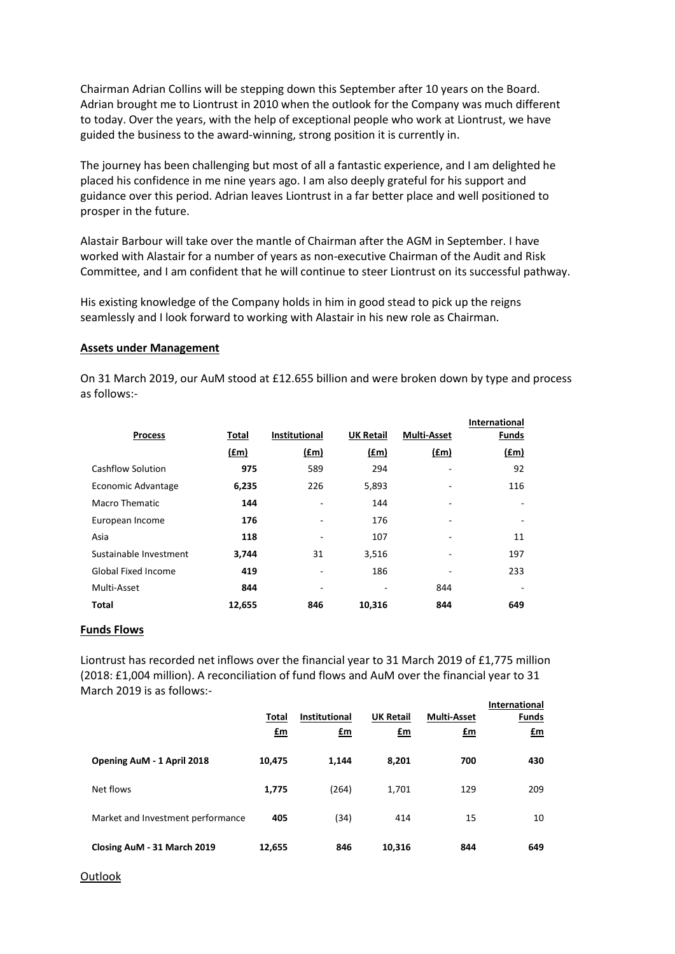Chairman Adrian Collins will be stepping down this September after 10 years on the Board. Adrian brought me to Liontrust in 2010 when the outlook for the Company was much different to today. Over the years, with the help of exceptional people who work at Liontrust, we have guided the business to the award-winning, strong position it is currently in.

The journey has been challenging but most of all a fantastic experience, and I am delighted he placed his confidence in me nine years ago. I am also deeply grateful for his support and guidance over this period. Adrian leaves Liontrust in a far better place and well positioned to prosper in the future.

Alastair Barbour will take over the mantle of Chairman after the AGM in September. I have worked with Alastair for a number of years as non-executive Chairman of the Audit and Risk Committee, and I am confident that he will continue to steer Liontrust on its successful pathway.

His existing knowledge of the Company holds in him in good stead to pick up the reigns seamlessly and I look forward to working with Alastair in his new role as Chairman.

#### **Assets under Management**

On 31 March 2019, our AuM stood at £12.655 billion and were broken down by type and process as follows:-

|                            |        |                      |                  |                    | <b>International</b> |
|----------------------------|--------|----------------------|------------------|--------------------|----------------------|
| <b>Process</b>             | Total  | <b>Institutional</b> | <b>UK Retail</b> | <b>Multi-Asset</b> | <b>Funds</b>         |
|                            | (f.m)  | (f.m)                | (fm)             | (f.m)              | (f.m)                |
| Cashflow Solution          | 975    | 589                  | 294              |                    | 92                   |
| Economic Advantage         | 6,235  | 226                  | 5,893            |                    | 116                  |
| Macro Thematic             | 144    |                      | 144              |                    |                      |
| European Income            | 176    |                      | 176              |                    |                      |
| Asia                       | 118    |                      | 107              |                    | 11                   |
| Sustainable Investment     | 3,744  | 31                   | 3,516            |                    | 197                  |
| <b>Global Fixed Income</b> | 419    |                      | 186              |                    | 233                  |
| Multi-Asset                | 844    |                      |                  | 844                |                      |
| <b>Total</b>               | 12,655 | 846                  | 10,316           | 844                | 649                  |

#### **Funds Flows**

Liontrust has recorded net inflows over the financial year to 31 March 2019 of £1,775 million (2018: £1,004 million). A reconciliation of fund flows and AuM over the financial year to 31 March 2019 is as follows:-

|                                   | Total          | Institutional | <b>UK Retail</b> | <b>Multi-Asset</b> | <b>International</b><br><b>Funds</b> |
|-----------------------------------|----------------|---------------|------------------|--------------------|--------------------------------------|
|                                   | $\mathbf{f}$ m | £m            | $\mathbf{f}$ m   | <u>£m</u>          | $fm$                                 |
| Opening AuM - 1 April 2018        | 10,475         | 1.144         | 8,201            | 700                | 430                                  |
| Net flows                         | 1,775          | (264)         | 1,701            | 129                | 209                                  |
| Market and Investment performance | 405            | (34)          | 414              | 15                 | 10                                   |
| Closing AuM - 31 March 2019       | 12,655         | 846           | 10,316           | 844                | 649                                  |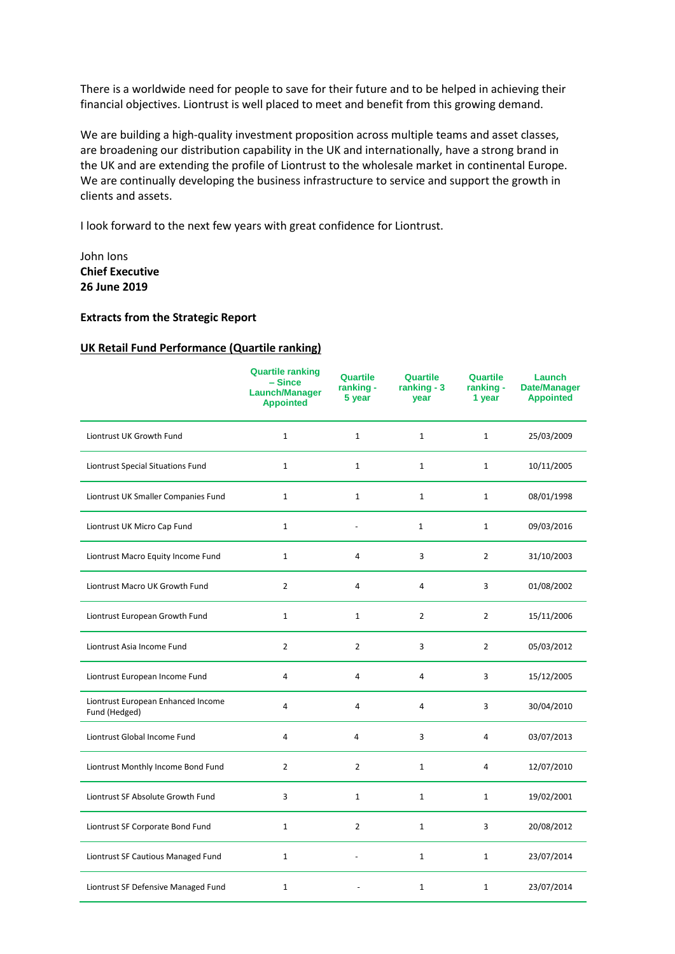There is a worldwide need for people to save for their future and to be helped in achieving their financial objectives. Liontrust is well placed to meet and benefit from this growing demand.

We are building a high-quality investment proposition across multiple teams and asset classes, are broadening our distribution capability in the UK and internationally, have a strong brand in the UK and are extending the profile of Liontrust to the wholesale market in continental Europe. We are continually developing the business infrastructure to service and support the growth in clients and assets.

I look forward to the next few years with great confidence for Liontrust.

# John Ions **Chief Executive 26 June 2019**

#### **Extracts from the Strategic Report**

#### **UK Retail Fund Performance (Quartile ranking)**

|                                                     | <b>Quartile ranking</b><br>$-Since$<br><b>Launch/Manager</b><br><b>Appointed</b> | Quartile<br>ranking -<br>5 year | Quartile<br>ranking - 3<br>year | <b>Quartile</b><br>ranking -<br>1 year | Launch<br><b>Date/Manager</b><br><b>Appointed</b> |
|-----------------------------------------------------|----------------------------------------------------------------------------------|---------------------------------|---------------------------------|----------------------------------------|---------------------------------------------------|
| Liontrust UK Growth Fund                            | $\mathbf{1}$                                                                     | $\mathbf{1}$                    | $\mathbf{1}$                    | $\mathbf{1}$                           | 25/03/2009                                        |
| Liontrust Special Situations Fund                   | $\mathbf{1}$                                                                     | $\mathbf{1}$                    | $\mathbf{1}$                    | $\mathbf{1}$                           | 10/11/2005                                        |
| Liontrust UK Smaller Companies Fund                 | $\mathbf{1}$                                                                     | $\mathbf{1}$                    | $1\,$                           | $\mathbf{1}$                           | 08/01/1998                                        |
| Liontrust UK Micro Cap Fund                         | $1\,$                                                                            | $\blacksquare$                  | $1\,$                           | $\mathbf{1}$                           | 09/03/2016                                        |
| Liontrust Macro Equity Income Fund                  | $\mathbf{1}$                                                                     | 4                               | 3                               | $\overline{2}$                         | 31/10/2003                                        |
| Liontrust Macro UK Growth Fund                      | $\overline{2}$                                                                   | $\overline{4}$                  | $\overline{4}$                  | 3                                      | 01/08/2002                                        |
| Liontrust European Growth Fund                      | $\mathbf{1}$                                                                     | $\mathbf{1}$                    | $\overline{2}$                  | $\overline{2}$                         | 15/11/2006                                        |
| Liontrust Asia Income Fund                          | 2                                                                                | $\overline{2}$                  | 3                               | $\overline{2}$                         | 05/03/2012                                        |
| Liontrust European Income Fund                      | 4                                                                                | 4                               | $\overline{4}$                  | 3                                      | 15/12/2005                                        |
| Liontrust European Enhanced Income<br>Fund (Hedged) | 4                                                                                | 4                               | $\overline{4}$                  | 3                                      | 30/04/2010                                        |
| Liontrust Global Income Fund                        | $\overline{\mathbf{4}}$                                                          | 4                               | 3                               | $\overline{4}$                         | 03/07/2013                                        |
| Liontrust Monthly Income Bond Fund                  | $\overline{2}$                                                                   | $\overline{2}$                  | $\mathbf{1}$                    | 4                                      | 12/07/2010                                        |
| Liontrust SF Absolute Growth Fund                   | 3                                                                                | $\mathbf{1}$                    | $1\,$                           | $\mathbf{1}$                           | 19/02/2001                                        |
| Liontrust SF Corporate Bond Fund                    | $\mathbf{1}$                                                                     | $\overline{2}$                  | $\mathbf{1}$                    | 3                                      | 20/08/2012                                        |
| Liontrust SF Cautious Managed Fund                  | $\mathbf{1}$                                                                     |                                 | $\mathbf{1}$                    | $\mathbf{1}$                           | 23/07/2014                                        |
| Liontrust SF Defensive Managed Fund                 | $\mathbf{1}$                                                                     |                                 | $\mathbf{1}$                    | $\mathbf{1}$                           | 23/07/2014                                        |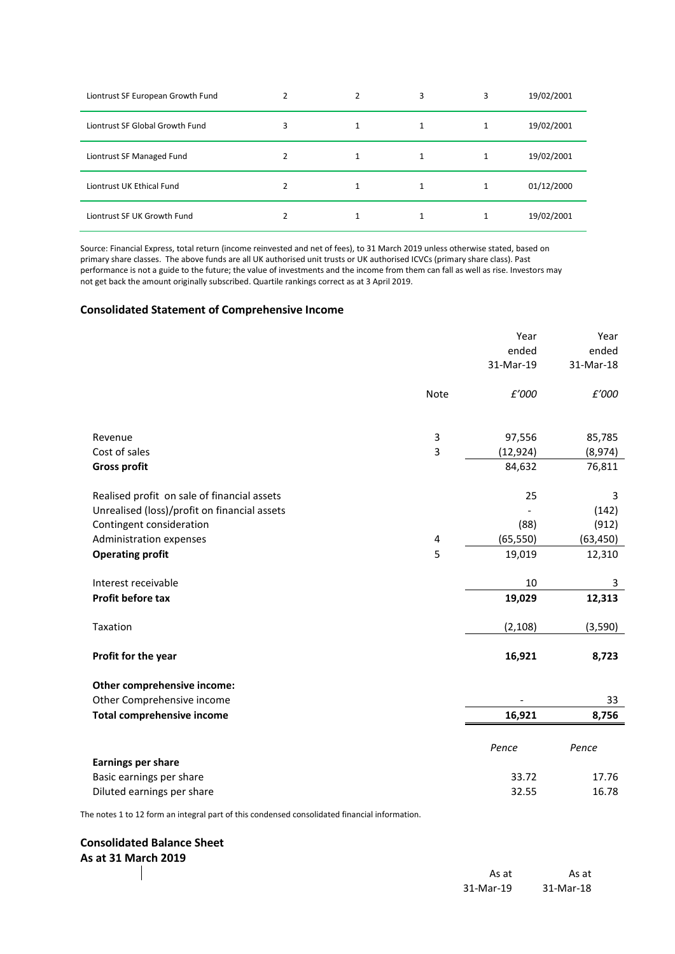| Liontrust SF European Growth Fund | 2 | 3 | 3 | 19/02/2001 |
|-----------------------------------|---|---|---|------------|
| Liontrust SF Global Growth Fund   | 3 |   |   | 19/02/2001 |
| Liontrust SF Managed Fund         | 2 | 1 |   | 19/02/2001 |
| Liontrust UK Ethical Fund         | 2 |   |   | 01/12/2000 |
| Liontrust SF UK Growth Fund       |   |   |   | 19/02/2001 |

Source: Financial Express, total return (income reinvested and net of fees), to 31 March 2019 unless otherwise stated, based on primary share classes. The above funds are all UK authorised unit trusts or UK authorised ICVCs (primary share class). Past performance is not a guide to the future; the value of investments and the income from them can fall as well as rise. Investors may not get back the amount originally subscribed. Quartile rankings correct as at 3 April 2019.

#### **Consolidated Statement of Comprehensive Income**

|      | Year      | Year                                  |
|------|-----------|---------------------------------------|
|      | ended     | ended                                 |
|      | 31-Mar-19 | 31-Mar-18                             |
| Note | £'000     | £'000                                 |
|      |           |                                       |
|      |           | 85,785                                |
| 3    |           | (8,974)                               |
|      | 84,632    | 76,811                                |
|      | 25        | 3                                     |
|      |           | (142)                                 |
|      | (88)      | (912)                                 |
| 4    | (65, 550) | (63, 450)                             |
| 5    | 19,019    | 12,310                                |
|      | 10        | 3                                     |
|      | 19,029    | 12,313                                |
|      | (2, 108)  | (3,590)                               |
|      | 16,921    | 8,723                                 |
|      |           |                                       |
|      |           | 33                                    |
|      | 16,921    | 8,756                                 |
|      | Pence     | Pence                                 |
|      |           |                                       |
|      |           | 17.76                                 |
|      |           | 16.78                                 |
|      | 3         | 97,556<br>(12, 924)<br>33.72<br>32.55 |

The notes 1 to 12 form an integral part of this condensed consolidated financial information.

### **Consolidated Balance Sheet As at 31 March 2019**

| As at     | As at     |  |
|-----------|-----------|--|
| 31-Mar-18 | 31-Mar-19 |  |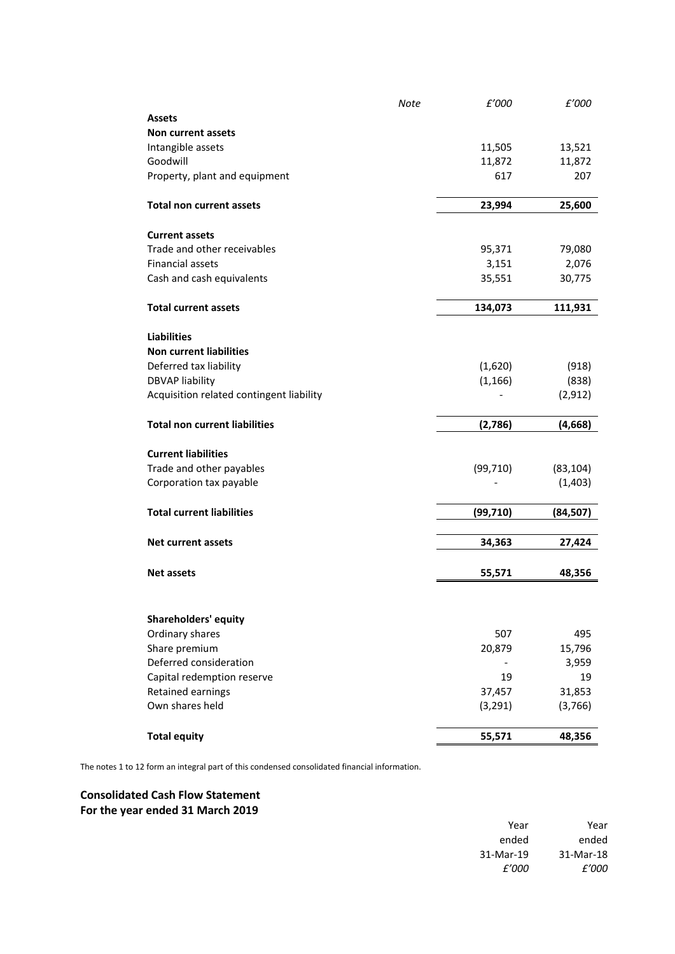|                                          | Note | £'000     | £'000     |
|------------------------------------------|------|-----------|-----------|
| <b>Assets</b>                            |      |           |           |
| Non current assets                       |      |           |           |
| Intangible assets                        |      | 11,505    | 13,521    |
| Goodwill                                 |      | 11,872    | 11,872    |
| Property, plant and equipment            |      | 617       | 207       |
| <b>Total non current assets</b>          |      | 23,994    | 25,600    |
| <b>Current assets</b>                    |      |           |           |
| Trade and other receivables              |      | 95,371    | 79,080    |
| <b>Financial assets</b>                  |      | 3,151     | 2,076     |
| Cash and cash equivalents                |      | 35,551    | 30,775    |
| <b>Total current assets</b>              |      | 134,073   | 111,931   |
| <b>Liabilities</b>                       |      |           |           |
| <b>Non current liabilities</b>           |      |           |           |
| Deferred tax liability                   |      | (1,620)   | (918)     |
| <b>DBVAP liability</b>                   |      | (1, 166)  | (838)     |
| Acquisition related contingent liability |      |           | (2, 912)  |
| <b>Total non current liabilities</b>     |      | (2,786)   | (4,668)   |
| <b>Current liabilities</b>               |      |           |           |
| Trade and other payables                 |      | (99, 710) | (83, 104) |
| Corporation tax payable                  |      |           | (1,403)   |
| <b>Total current liabilities</b>         |      | (99, 710) | (84, 507) |
| <b>Net current assets</b>                |      | 34,363    | 27,424    |
|                                          |      |           |           |
| <b>Net assets</b>                        |      | 55,571    | 48,356    |
|                                          |      |           |           |
| <b>Shareholders' equity</b>              |      |           |           |
| Ordinary shares                          |      | 507       | 495       |
| Share premium                            |      | 20,879    | 15,796    |
| Deferred consideration                   |      |           | 3,959     |
| Capital redemption reserve               |      | 19        | 19        |
| Retained earnings                        |      | 37,457    | 31,853    |
| Own shares held                          |      | (3, 291)  | (3,766)   |
| <b>Total equity</b>                      |      | 55,571    | 48,356    |
|                                          |      |           |           |

The notes 1 to 12 form an integral part of this condensed consolidated financial information.

# **Consolidated Cash Flow Statement For the year ended 31 March 2019**

| Year      | Year      |
|-----------|-----------|
| ended     | ended     |
| 31-Mar-18 | 31-Mar-19 |
| f'000     | f'000     |
|           |           |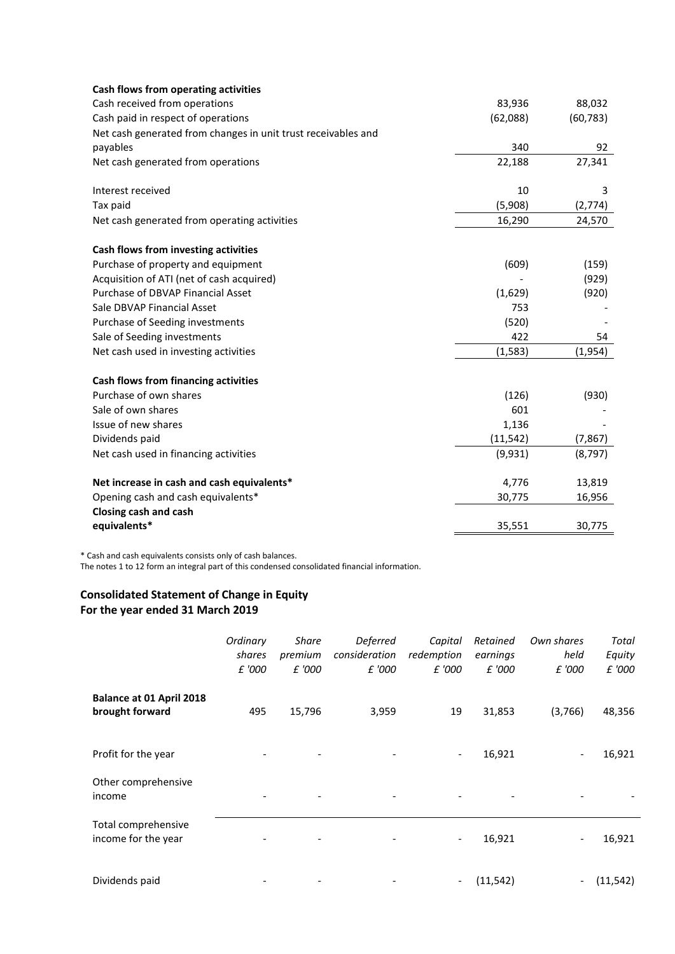| Cash flows from operating activities                          |           |           |
|---------------------------------------------------------------|-----------|-----------|
| Cash received from operations                                 | 83,936    | 88,032    |
| Cash paid in respect of operations                            | (62,088)  | (60, 783) |
| Net cash generated from changes in unit trust receivables and |           |           |
| payables                                                      | 340       | 92        |
| Net cash generated from operations                            | 22,188    | 27,341    |
| Interest received                                             | 10        | 3         |
| Tax paid                                                      | (5,908)   | (2,774)   |
| Net cash generated from operating activities                  | 16,290    | 24,570    |
| Cash flows from investing activities                          |           |           |
| Purchase of property and equipment                            | (609)     | (159)     |
| Acquisition of ATI (net of cash acquired)                     |           | (929)     |
| Purchase of DBVAP Financial Asset                             | (1,629)   | (920)     |
| Sale DBVAP Financial Asset                                    | 753       |           |
| Purchase of Seeding investments                               | (520)     |           |
| Sale of Seeding investments                                   | 422       | 54        |
| Net cash used in investing activities                         | (1,583)   | (1,954)   |
| Cash flows from financing activities                          |           |           |
| Purchase of own shares                                        | (126)     | (930)     |
| Sale of own shares                                            | 601       |           |
| Issue of new shares                                           | 1,136     |           |
| Dividends paid                                                | (11, 542) | (7, 867)  |
| Net cash used in financing activities                         | (9,931)   | (8, 797)  |
| Net increase in cash and cash equivalents*                    | 4,776     | 13,819    |
| Opening cash and cash equivalents*                            | 30,775    | 16,956    |
| Closing cash and cash                                         |           |           |
| equivalents*                                                  | 35,551    | 30,775    |

\* Cash and cash equivalents consists only of cash balances.

The notes 1 to 12 form an integral part of this condensed consolidated financial information.

# **Consolidated Statement of Change in Equity For the year ended 31 March 2019**

|                                             | Ordinary<br>shares<br>£ '000 | <b>Share</b><br>premium<br>£ '000 | Deferred<br>consideration<br>£ '000 | Capital<br>redemption<br>£ '000 | Retained<br>earnings<br>£ '000 | Own shares<br>held<br>£ '000 | Total<br>Equity<br>£ '000 |
|---------------------------------------------|------------------------------|-----------------------------------|-------------------------------------|---------------------------------|--------------------------------|------------------------------|---------------------------|
| Balance at 01 April 2018<br>brought forward | 495                          | 15,796                            | 3,959                               | 19                              | 31,853                         | (3,766)                      | 48,356                    |
| Profit for the year                         |                              | $\overline{\phantom{a}}$          |                                     | $\overline{\phantom{a}}$        | 16,921                         | $\overline{\phantom{0}}$     | 16,921                    |
| Other comprehensive<br>income               |                              |                                   |                                     |                                 |                                |                              |                           |
| Total comprehensive<br>income for the year  |                              |                                   |                                     | $\overline{\phantom{a}}$        | 16,921                         |                              | 16,921                    |
| Dividends paid                              |                              |                                   |                                     | $\overline{\phantom{a}}$        | (11, 542)                      | -                            | (11, 542)                 |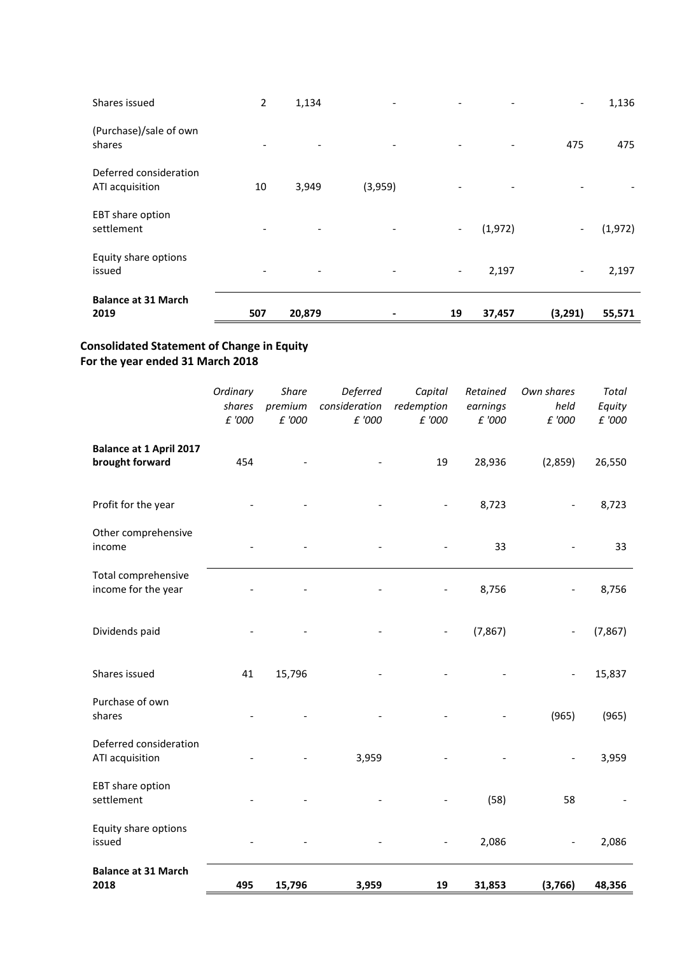| Shares issued                             | $\overline{2}$ | 1,134                    | $\overline{\phantom{a}}$ | $\overline{\phantom{a}}$     | $\overline{\phantom{a}}$ | $\overline{\phantom{0}}$ | 1,136    |
|-------------------------------------------|----------------|--------------------------|--------------------------|------------------------------|--------------------------|--------------------------|----------|
| (Purchase)/sale of own<br>shares          |                | $\overline{\phantom{a}}$ |                          |                              | $\overline{\phantom{a}}$ | 475                      | 475      |
| Deferred consideration<br>ATI acquisition | 10             | 3,949                    | (3,959)                  |                              | $\overline{\phantom{a}}$ |                          |          |
| EBT share option<br>settlement            |                | $\overline{\phantom{a}}$ |                          | $\qquad \qquad \blacksquare$ | (1,972)                  | $\overline{\phantom{0}}$ | (1, 972) |
| Equity share options<br>issued            |                |                          |                          | $\overline{\phantom{a}}$     | 2,197                    | -                        | 2,197    |
| <b>Balance at 31 March</b><br>2019        | 507            | 20,879                   |                          | 19                           | 37,457                   | (3,291)                  | 55,571   |

# **Consolidated Statement of Change in Equity For the year ended 31 March 2018**

|                                                   | Ordinary<br>shares<br>£ '000 | <b>Share</b><br>premium<br>£ '000 | Deferred<br>consideration<br>£ '000 | Capital<br>redemption<br>£ '000 | Retained<br>earnings<br>£ '000 | Own shares<br>held<br>£ '000 | <b>Total</b><br>Equity<br>£ '000 |
|---------------------------------------------------|------------------------------|-----------------------------------|-------------------------------------|---------------------------------|--------------------------------|------------------------------|----------------------------------|
| <b>Balance at 1 April 2017</b><br>brought forward | 454                          |                                   |                                     | 19                              | 28,936                         | (2,859)                      | 26,550                           |
| Profit for the year                               |                              |                                   |                                     |                                 | 8,723                          |                              | 8,723                            |
| Other comprehensive<br>income                     |                              |                                   |                                     |                                 | 33                             |                              | 33                               |
| Total comprehensive<br>income for the year        |                              |                                   |                                     |                                 | 8,756                          |                              | 8,756                            |
| Dividends paid                                    |                              |                                   |                                     |                                 | (7, 867)                       | $\overline{\phantom{a}}$     | (7, 867)                         |
| Shares issued                                     | 41                           | 15,796                            |                                     |                                 |                                | $\overline{\phantom{a}}$     | 15,837                           |
| Purchase of own<br>shares                         |                              |                                   |                                     |                                 |                                | (965)                        | (965)                            |
| Deferred consideration<br>ATI acquisition         |                              |                                   | 3,959                               |                                 |                                |                              | 3,959                            |
| EBT share option<br>settlement                    |                              |                                   |                                     |                                 | (58)                           | 58                           |                                  |
| Equity share options<br>issued                    |                              |                                   |                                     |                                 | 2,086                          |                              | 2,086                            |
| <b>Balance at 31 March</b><br>2018                | 495                          | 15,796                            | 3,959                               | 19                              | 31,853                         | (3,766)                      | 48,356                           |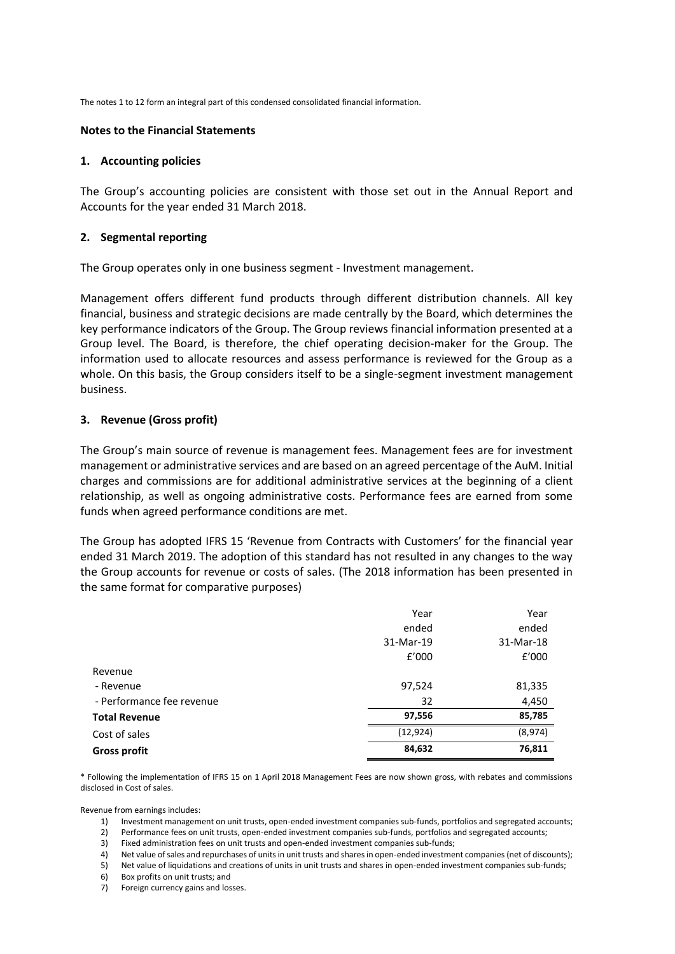The notes 1 to 12 form an integral part of this condensed consolidated financial information.

#### **Notes to the Financial Statements**

#### **1. Accounting policies**

The Group's accounting policies are consistent with those set out in the Annual Report and Accounts for the year ended 31 March 2018.

#### **2. Segmental reporting**

The Group operates only in one business segment - Investment management.

Management offers different fund products through different distribution channels. All key financial, business and strategic decisions are made centrally by the Board, which determines the key performance indicators of the Group. The Group reviews financial information presented at a Group level. The Board, is therefore, the chief operating decision-maker for the Group. The information used to allocate resources and assess performance is reviewed for the Group as a whole. On this basis, the Group considers itself to be a single-segment investment management business.

#### **3. Revenue (Gross profit)**

The Group's main source of revenue is management fees. Management fees are for investment management or administrative services and are based on an agreed percentage of the AuM. Initial charges and commissions are for additional administrative services at the beginning of a client relationship, as well as ongoing administrative costs. Performance fees are earned from some funds when agreed performance conditions are met.

The Group has adopted IFRS 15 'Revenue from Contracts with Customers' for the financial year ended 31 March 2019. The adoption of this standard has not resulted in any changes to the way the Group accounts for revenue or costs of sales. (The 2018 information has been presented in the same format for comparative purposes)

|                           | Year      | Year      |
|---------------------------|-----------|-----------|
|                           | ended     | ended     |
|                           | 31-Mar-19 | 31-Mar-18 |
|                           | f'000     | f'000     |
| Revenue                   |           |           |
| - Revenue                 | 97,524    | 81,335    |
| - Performance fee revenue | 32        | 4,450     |
| <b>Total Revenue</b>      | 97,556    | 85,785    |
| Cost of sales             | (12, 924) | (8,974)   |
| <b>Gross profit</b>       | 84,632    | 76,811    |

\* Following the implementation of IFRS 15 on 1 April 2018 Management Fees are now shown gross, with rebates and commissions disclosed in Cost of sales.

Revenue from earnings includes:

- 1) Investment management on unit trusts, open-ended investment companies sub-funds, portfolios and segregated accounts;<br>2) Performance fees on unit trusts, open-ended investment companies sub-funds, portfolios and segregat
- 2) Performance fees on unit trusts, open-ended investment companies sub-funds, portfolios and segregated accounts;
- 3) Fixed administration fees on unit trusts and open-ended investment companies sub-funds;
- 4) Net value of sales and repurchases of units in unit trusts and shares in open-ended investment companies (net of discounts);
- 5) Net value of liquidations and creations of units in unit trusts and shares in open-ended investment companies sub-funds;
- 6) Box profits on unit trusts; and
- 7) Foreign currency gains and losses.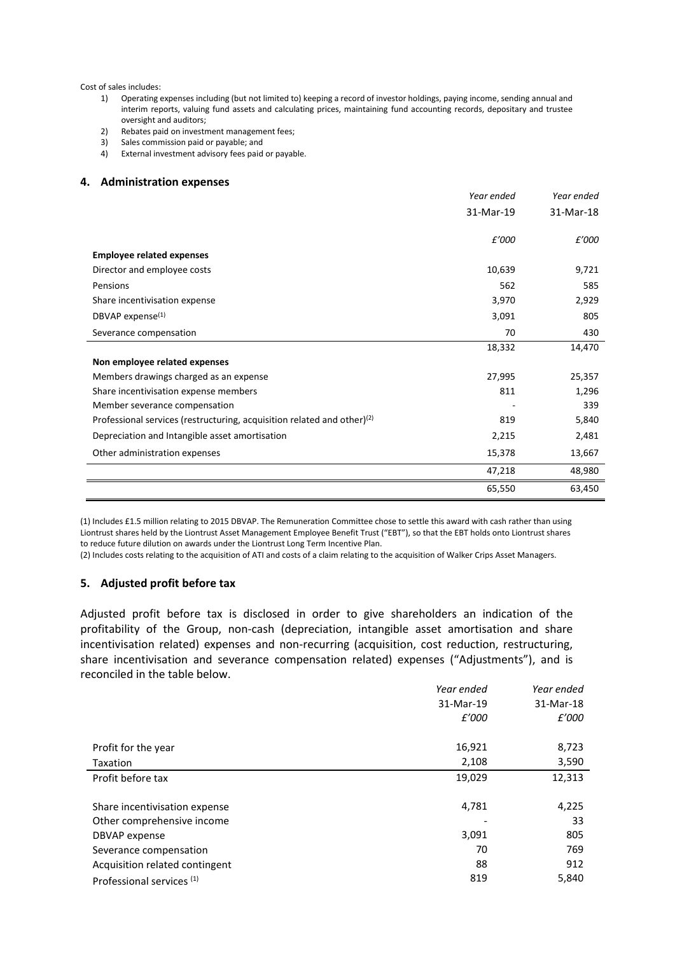#### Cost of sales includes:

- 1) Operating expenses including (but not limited to) keeping a record of investor holdings, paying income, sending annual and interim reports, valuing fund assets and calculating prices, maintaining fund accounting records, depositary and trustee oversight and auditors;
- 2) Rebates paid on investment management fees;
- 3) Sales commission paid or payable; and
- 4) External investment advisory fees paid or payable.

#### **4. Administration expenses**

|                                                                                     | Year ended | Year ended |
|-------------------------------------------------------------------------------------|------------|------------|
|                                                                                     | 31-Mar-19  | 31-Mar-18  |
|                                                                                     |            |            |
|                                                                                     | £'000      | £'000      |
| <b>Employee related expenses</b>                                                    |            |            |
| Director and employee costs                                                         | 10,639     | 9,721      |
| Pensions                                                                            | 562        | 585        |
| Share incentivisation expense                                                       | 3,970      | 2,929      |
| DBVAP expense <sup>(1)</sup>                                                        | 3,091      | 805        |
| Severance compensation                                                              | 70         | 430        |
|                                                                                     | 18,332     | 14,470     |
| Non employee related expenses                                                       |            |            |
| Members drawings charged as an expense                                              | 27,995     | 25,357     |
| Share incentivisation expense members                                               | 811        | 1,296      |
| Member severance compensation                                                       |            | 339        |
| Professional services (restructuring, acquisition related and other) <sup>(2)</sup> | 819        | 5,840      |
| Depreciation and Intangible asset amortisation                                      | 2,215      | 2,481      |
| Other administration expenses                                                       | 15,378     | 13,667     |
|                                                                                     | 47,218     | 48,980     |
|                                                                                     | 65,550     | 63,450     |

(1) Includes £1.5 million relating to 2015 DBVAP. The Remuneration Committee chose to settle this award with cash rather than using Liontrust shares held by the Liontrust Asset Management Employee Benefit Trust ("EBT"), so that the EBT holds onto Liontrust shares to reduce future dilution on awards under the Liontrust Long Term Incentive Plan.

(2) Includes costs relating to the acquisition of ATI and costs of a claim relating to the acquisition of Walker Crips Asset Managers.

#### **5. Adjusted profit before tax**

Adjusted profit before tax is disclosed in order to give shareholders an indication of the profitability of the Group, non-cash (depreciation, intangible asset amortisation and share incentivisation related) expenses and non-recurring (acquisition, cost reduction, restructuring, share incentivisation and severance compensation related) expenses ("Adjustments"), and is reconciled in the table below.

|                                      | Year ended | Year ended<br>31-Mar-18 |
|--------------------------------------|------------|-------------------------|
|                                      | 31-Mar-19  |                         |
|                                      | £'000      | £'000                   |
| Profit for the year                  | 16,921     | 8,723                   |
| Taxation                             | 2,108      | 3,590                   |
| Profit before tax                    | 19,029     | 12,313                  |
| Share incentivisation expense        | 4,781      | 4,225                   |
| Other comprehensive income           |            | 33                      |
| DBVAP expense                        | 3,091      | 805                     |
| Severance compensation               | 70         | 769                     |
| Acquisition related contingent       | 88         | 912                     |
| Professional services <sup>(1)</sup> | 819        | 5,840                   |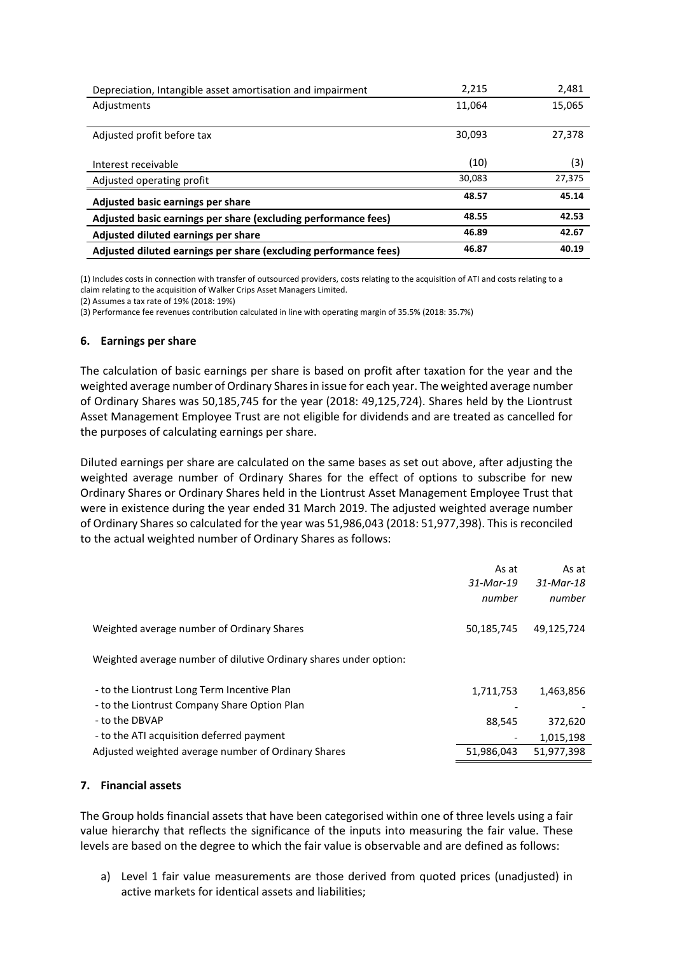| Depreciation, Intangible asset amortisation and impairment       | 2,215  | 2,481  |
|------------------------------------------------------------------|--------|--------|
| Adjustments                                                      | 11.064 | 15,065 |
|                                                                  |        |        |
| Adjusted profit before tax                                       | 30.093 | 27,378 |
|                                                                  |        |        |
| Interest receivable                                              | (10)   | (3)    |
| Adjusted operating profit                                        | 30,083 | 27,375 |
| Adjusted basic earnings per share                                | 48.57  | 45.14  |
| Adjusted basic earnings per share (excluding performance fees)   | 48.55  | 42.53  |
| Adjusted diluted earnings per share                              | 46.89  | 42.67  |
| Adjusted diluted earnings per share (excluding performance fees) | 46.87  | 40.19  |

(1) Includes costs in connection with transfer of outsourced providers, costs relating to the acquisition of ATI and costs relating to a claim relating to the acquisition of Walker Crips Asset Managers Limited.

(2) Assumes a tax rate of 19% (2018: 19%)

(3) Performance fee revenues contribution calculated in line with operating margin of 35.5% (2018: 35.7%)

#### **6. Earnings per share**

The calculation of basic earnings per share is based on profit after taxation for the year and the weighted average number of Ordinary Shares in issue for each year. The weighted average number of Ordinary Shares was 50,185,745 for the year (2018: 49,125,724). Shares held by the Liontrust Asset Management Employee Trust are not eligible for dividends and are treated as cancelled for the purposes of calculating earnings per share.

Diluted earnings per share are calculated on the same bases as set out above, after adjusting the weighted average number of Ordinary Shares for the effect of options to subscribe for new Ordinary Shares or Ordinary Shares held in the Liontrust Asset Management Employee Trust that were in existence during the year ended 31 March 2019. The adjusted weighted average number of Ordinary Shares so calculated for the year was 51,986,043 (2018: 51,977,398). This is reconciled to the actual weighted number of Ordinary Shares as follows:

|                                                                                             | As at<br>31-Mar-19<br>number | As at<br>31-Mar-18<br>number |
|---------------------------------------------------------------------------------------------|------------------------------|------------------------------|
| Weighted average number of Ordinary Shares                                                  | 50,185,745                   | 49,125,724                   |
| Weighted average number of dilutive Ordinary shares under option:                           |                              |                              |
| - to the Liontrust Long Term Incentive Plan<br>- to the Liontrust Company Share Option Plan | 1,711,753                    | 1,463,856                    |
| - to the DBVAP                                                                              | 88,545                       | 372,620                      |
| - to the ATI acquisition deferred payment                                                   |                              | 1,015,198                    |
| Adjusted weighted average number of Ordinary Shares                                         | 51,986,043                   | 51,977,398                   |

### **7. Financial assets**

The Group holds financial assets that have been categorised within one of three levels using a fair value hierarchy that reflects the significance of the inputs into measuring the fair value. These levels are based on the degree to which the fair value is observable and are defined as follows:

a) Level 1 fair value measurements are those derived from quoted prices (unadjusted) in active markets for identical assets and liabilities;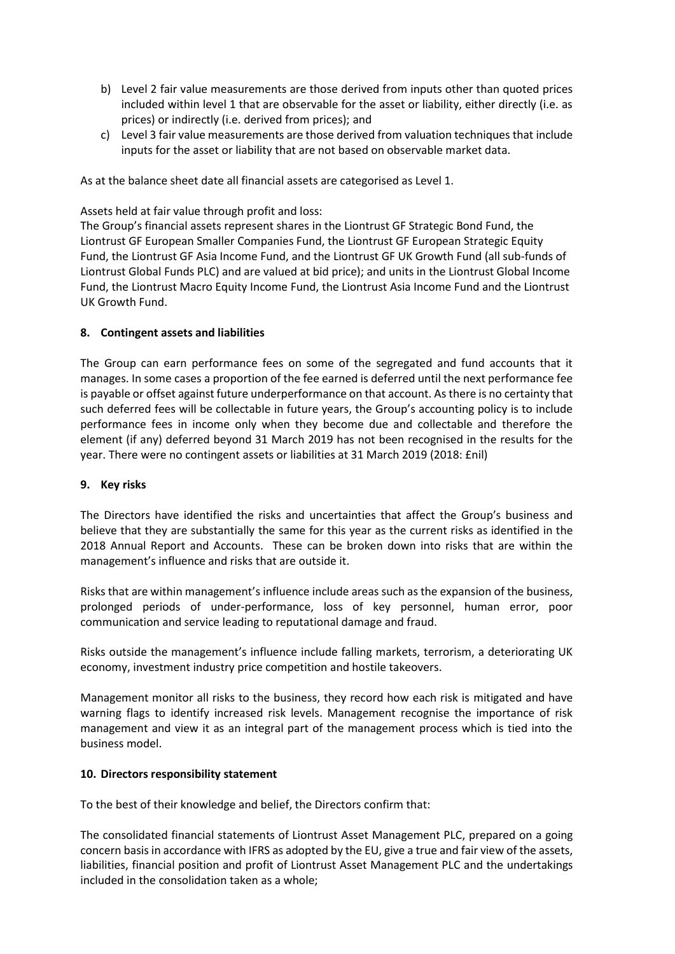- b) Level 2 fair value measurements are those derived from inputs other than quoted prices included within level 1 that are observable for the asset or liability, either directly (i.e. as prices) or indirectly (i.e. derived from prices); and
- c) Level 3 fair value measurements are those derived from valuation techniques that include inputs for the asset or liability that are not based on observable market data.

As at the balance sheet date all financial assets are categorised as Level 1.

Assets held at fair value through profit and loss:

The Group's financial assets represent shares in the Liontrust GF Strategic Bond Fund, the Liontrust GF European Smaller Companies Fund, the Liontrust GF European Strategic Equity Fund, the Liontrust GF Asia Income Fund, and the Liontrust GF UK Growth Fund (all sub-funds of Liontrust Global Funds PLC) and are valued at bid price); and units in the Liontrust Global Income Fund, the Liontrust Macro Equity Income Fund, the Liontrust Asia Income Fund and the Liontrust UK Growth Fund.

## **8. Contingent assets and liabilities**

The Group can earn performance fees on some of the segregated and fund accounts that it manages. In some cases a proportion of the fee earned is deferred until the next performance fee is payable or offset against future underperformance on that account. As there is no certainty that such deferred fees will be collectable in future years, the Group's accounting policy is to include performance fees in income only when they become due and collectable and therefore the element (if any) deferred beyond 31 March 2019 has not been recognised in the results for the year. There were no contingent assets or liabilities at 31 March 2019 (2018: £nil)

### **9. Key risks**

The Directors have identified the risks and uncertainties that affect the Group's business and believe that they are substantially the same for this year as the current risks as identified in the 2018 Annual Report and Accounts. These can be broken down into risks that are within the management's influence and risks that are outside it.

Risks that are within management's influence include areas such as the expansion of the business, prolonged periods of under-performance, loss of key personnel, human error, poor communication and service leading to reputational damage and fraud.

Risks outside the management's influence include falling markets, terrorism, a deteriorating UK economy, investment industry price competition and hostile takeovers.

Management monitor all risks to the business, they record how each risk is mitigated and have warning flags to identify increased risk levels. Management recognise the importance of risk management and view it as an integral part of the management process which is tied into the business model.

### **10. Directors responsibility statement**

To the best of their knowledge and belief, the Directors confirm that:

The consolidated financial statements of Liontrust Asset Management PLC, prepared on a going concern basisin accordance with IFRS as adopted by the EU, give a true and fair view of the assets, liabilities, financial position and profit of Liontrust Asset Management PLC and the undertakings included in the consolidation taken as a whole;